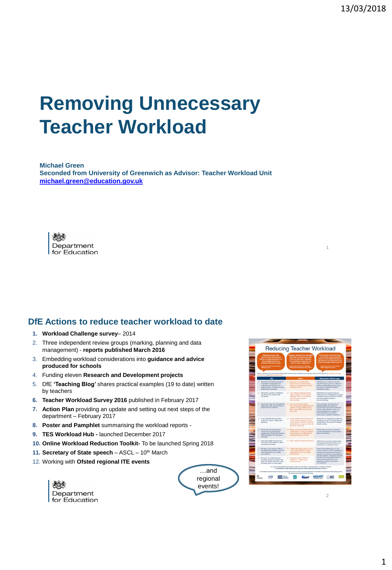# **Removing Unnecessary Teacher Workload**

**Michael Green Seconded from University of Greenwich as Advisor: Teacher Workload Unit [michael.green@education.gov.uk](mailto:michael.green@education.gov.uk)**

えつき Department for Education

#### **DfE Actions to reduce teacher workload to date**

- **1. Workload Challenge survey** 2014
- 2. Three independent review groups (marking, planning and data management) - **reports published March 2016**
- 3. Embedding workload considerations into **guidance and advice produced for schools**
- 4. Funding eleven **Research and Development projects**
- 5. DfE **'Teaching Blog'** shares practical examples (19 to date) written by teachers
- **6. Teacher Workload Survey 2016** published in February 2017
- **7. Action Plan** providing an update and setting out next steps of the department – February 2017
- **8. Poster and Pamphlet** summarising the workload reports -
- **9. TES Workload Hub -** launched December 2017
- **10. Online Workload Reduction Toolkit-** To be launched Spring 2018
- 11. Secretary of State speech ASCL 10<sup>th</sup> March
- 12. Working with **Ofsted regional ITE events**

| <b>AR</b><br>Department<br>For Education |
|------------------------------------------|
|                                          |
|                                          |





 $\overline{2}$ 

1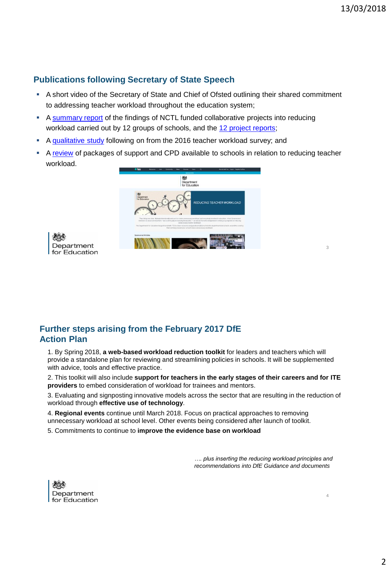#### **Publications following Secretary of State Speech**

- A short video of the Secretary of State and Chief of Ofsted outlining their shared commitment to addressing teacher workload throughout the education system;
- A [summary report](https://www.gov.uk/government/publications/workload-challenge-research-projects-summary-report-2018) of the findings of NCTL funded collaborative projects into reducing workload carried out by 12 groups of schools, and the [12 project reports](https://www.gov.uk/government/publications/teacher-workload-challenge-school-research-project-reports);
- A [qualitative study](https://www.gov.uk/government/publications/exploring-teacher-workload-qualitative-research) following on from the 2016 teacher workload survey; and
- A [review](https://www.gov.uk/government/publications/mapping-professional-development-for-reducing-teacher-workload) of packages of support and CPD available to schools in relation to reducing teacher workload.



Department for Education

#### **Further steps arising from the February 2017 DfE Action Plan**

1. By Spring 2018, **a web-based workload reduction toolkit** for leaders and teachers which will provide a standalone plan for reviewing and streamlining policies in schools. It will be supplemented with advice, tools and effective practice.

2. This toolkit will also include **support for teachers in the early stages of their careers and for ITE providers** to embed consideration of workload for trainees and mentors.

3. Evaluating and signposting innovative models across the sector that are resulting in the reduction of workload through **effective use of technology**.

4. **Regional events** continue until March 2018. Focus on practical approaches to removing unnecessary workload at school level. Other events being considered after launch of toolkit.

5. Commitments to continue to **improve the evidence base on workload**

*…. plus inserting the reducing workload principles and recommendations into DfE Guidance and documents*



4

3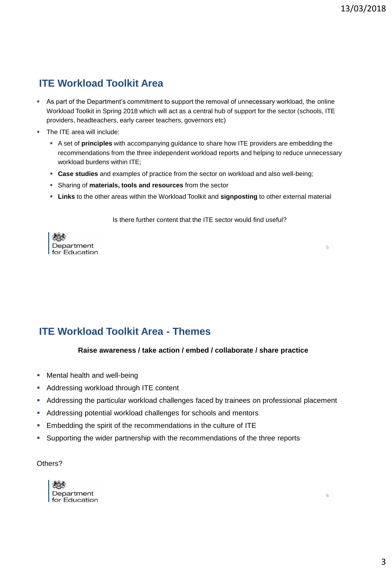5

6

## **ITE Workload Toolkit Area**

- As part of the Department's commitment to support the removal of unnecessary workload, the online Workload Toolkit in Spring 2018 which will act as a central hub of support for the sector (schools, ITE providers, headteachers, early career teachers, governors etc)
- The ITE area will include:
	- A set of **principles** with accompanying guidance to share how ITE providers are embedding the recommendations from the three independent workload reports and helping to reduce unnecessary workload burdens within ITE;
	- **Case studies** and examples of practice from the sector on workload and also well-being;
	- Sharing of **materials, tools and resources** from the sector
	- **Links** to the other areas within the Workload Toolkit and **signposting** to other external material

Is there further content that the ITE sector would find useful?



### **ITE Workload Toolkit Area - Themes**

#### **Raise awareness / take action / embed / collaborate / share practice**

- **Mental health and well-being**
- **Addressing workload through ITE content**
- Addressing the particular workload challenges faced by trainees on professional placement
- Addressing potential workload challenges for schools and mentors
- **Embedding the spirit of the recommendations in the culture of ITE**
- Supporting the wider partnership with the recommendations of the three reports

Others?

| <b>AS</b><br>Department<br>for Education |
|------------------------------------------|
|                                          |
|                                          |

3